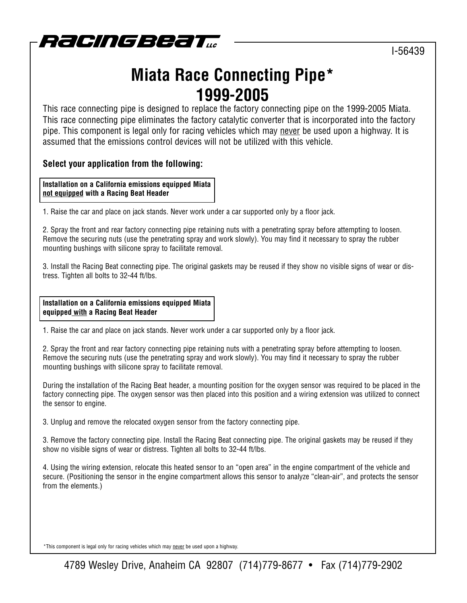

I-56439

# **Miata Race Connecting Pipe\* 1999-2005**

This race connecting pipe is designed to replace the factory connecting pipe on the 1999-2005 Miata. This race connecting pipe eliminates the factory catalytic converter that is incorporated into the factory pipe. This component is legal only for racing vehicles which may never be used upon a highway. It is assumed that the emissions control devices will not be utilized with this vehicle.

### **Select your application from the following:**

**Installation on a California emissions equipped Miata not equipped with a Racing Beat Header**

1. Raise the car and place on jack stands. Never work under a car supported only by a floor jack.

2. Spray the front and rear factory connecting pipe retaining nuts with a penetrating spray before attempting to loosen. Remove the securing nuts (use the penetrating spray and work slowly). You may find it necessary to spray the rubber mounting bushings with silicone spray to facilitate removal.

3. Install the Racing Beat connecting pipe. The original gaskets may be reused if they show no visible signs of wear or distress. Tighten all bolts to 32-44 ft/lbs.

**Installation on a California emissions equipped Miata equipped with a Racing Beat Header**

1. Raise the car and place on jack stands. Never work under a car supported only by a floor jack.

2. Spray the front and rear factory connecting pipe retaining nuts with a penetrating spray before attempting to loosen. Remove the securing nuts (use the penetrating spray and work slowly). You may find it necessary to spray the rubber mounting bushings with silicone spray to facilitate removal.

During the installation of the Racing Beat header, a mounting position for the oxygen sensor was required to be placed in the factory connecting pipe. The oxygen sensor was then placed into this position and a wiring extension was utilized to connect the sensor to engine.

3. Unplug and remove the relocated oxygen sensor from the factory connecting pipe.

3. Remove the factory connecting pipe. Install the Racing Beat connecting pipe. The original gaskets may be reused if they show no visible signs of wear or distress. Tighten all bolts to 32-44 ft/lbs.

4. Using the wiring extension, relocate this heated sensor to an "open area" in the engine compartment of the vehicle and secure. (Positioning the sensor in the engine compartment allows this sensor to analyze "clean-air", and protects the sensor from the elements.)

\*This component is legal only for racing vehicles which may never be used upon a highway.